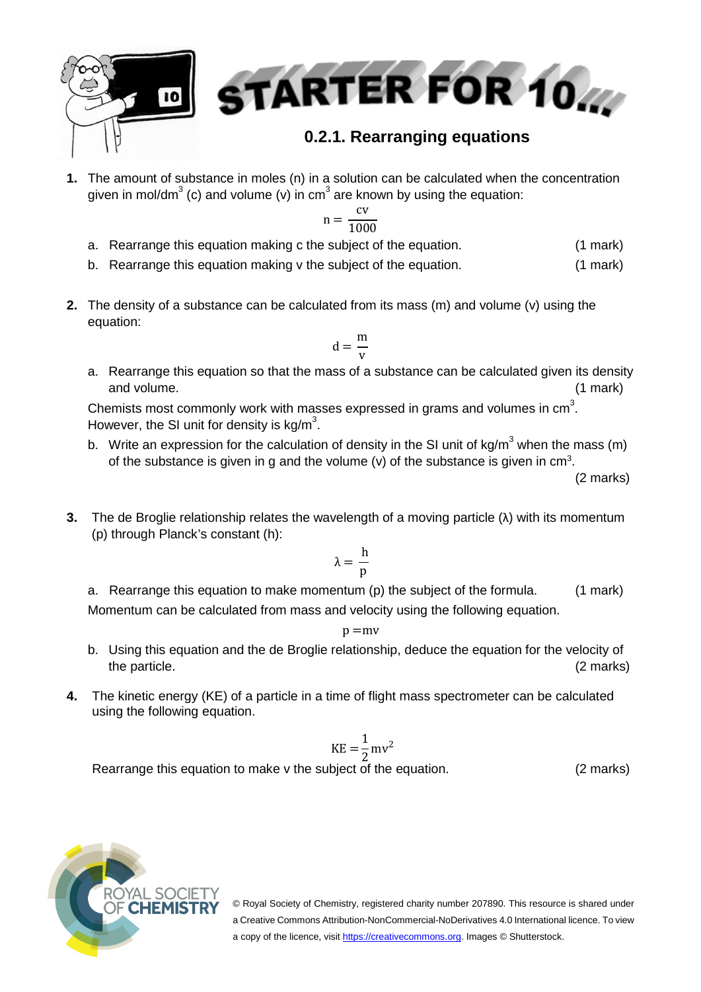

**1.** The amount of substance in moles (n) in a solution can be calculated when the concentration given in mol/dm<sup>3</sup> (c) and volume (v) in cm<sup>3</sup> are known by using the equation:

$$
n = \frac{cv}{1000}
$$

- a. Rearrange this equation making c the subject of the equation. (1 mark)
- b. Rearrange this equation making v the subject of the equation. (1 mark)
- **2.** The density of a substance can be calculated from its mass (m) and volume (v) using the equation:

$$
d=\frac{m}{v}
$$

a. Rearrange this equation so that the mass of a substance can be calculated given its density and volume. (1 mark)

Chemists most commonly work with masses expressed in grams and volumes in  $cm<sup>3</sup>$ . However, the SI unit for density is  $kg/m^3$ .

b. Write an expression for the calculation of density in the SI unit of  $kg/m<sup>3</sup>$  when the mass (m) of the substance is given in g and the volume (v) of the substance is given in  $cm<sup>3</sup>$ .

(2 marks)

**3.** The de Broglie relationship relates the wavelength of a moving particle (λ) with its momentum (p) through Planck's constant (h):

$$
\lambda=\frac{h}{p}
$$

a. Rearrange this equation to make momentum (p) the subject of the formula. (1 mark) Momentum can be calculated from mass and velocity using the following equation.

 $p = mv$ 

- b. Using this equation and the de Broglie relationship, deduce the equation for the velocity of the particle. (2 marks) (2 marks)
- **4.** The kinetic energy (KE) of a particle in a time of flight mass spectrometer can be calculated using the following equation.

$$
KE = \frac{1}{2}mv^2
$$

Rearrange this equation to make v the subject of the equation. (2 marks)

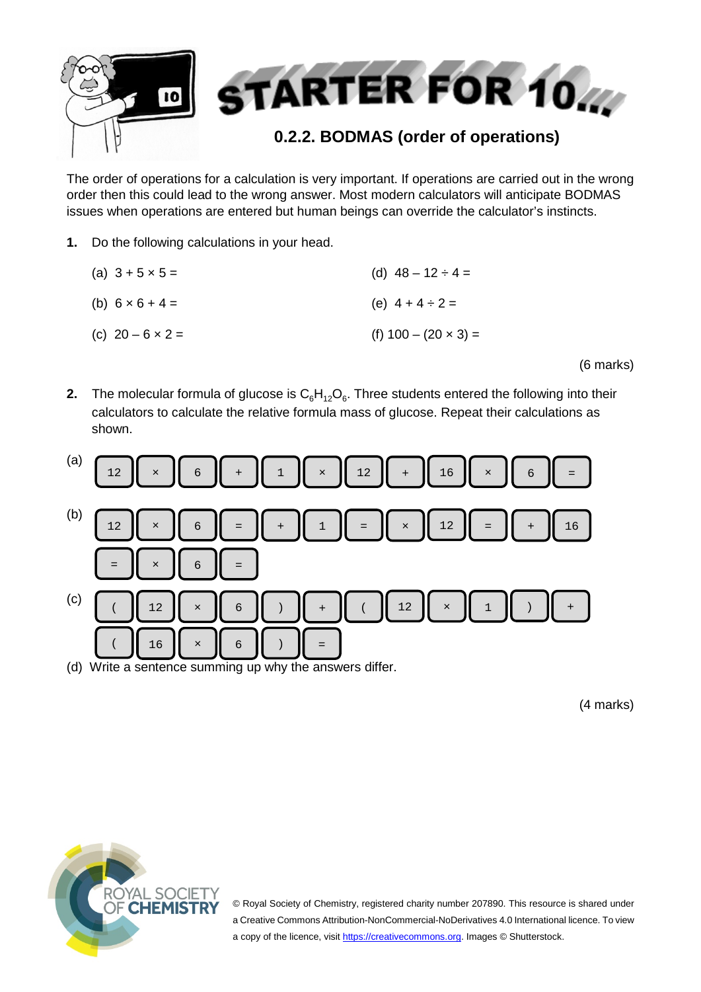

The order of operations for a calculation is very important. If operations are carried out in the wrong order then this could lead to the wrong answer. Most modern calculators will anticipate BODMAS issues when operations are entered but human beings can override the calculator's instincts.

- **1.** Do the following calculations in your head.
	- (a)  $3 + 5 \times 5 =$ (b)  $6 \times 6 + 4 =$ (c)  $20 - 6 \times 2 =$ (d)  $48 - 12 \div 4 =$ (e)  $4 + 4 \div 2 =$ (f)  $100 - (20 \times 3) =$

(6 marks)

**2.** The molecular formula of glucose is  $C_6H_{12}O_6$ . Three students entered the following into their calculators to calculate the relative formula mass of glucose. Repeat their calculations as shown.



(4 marks)

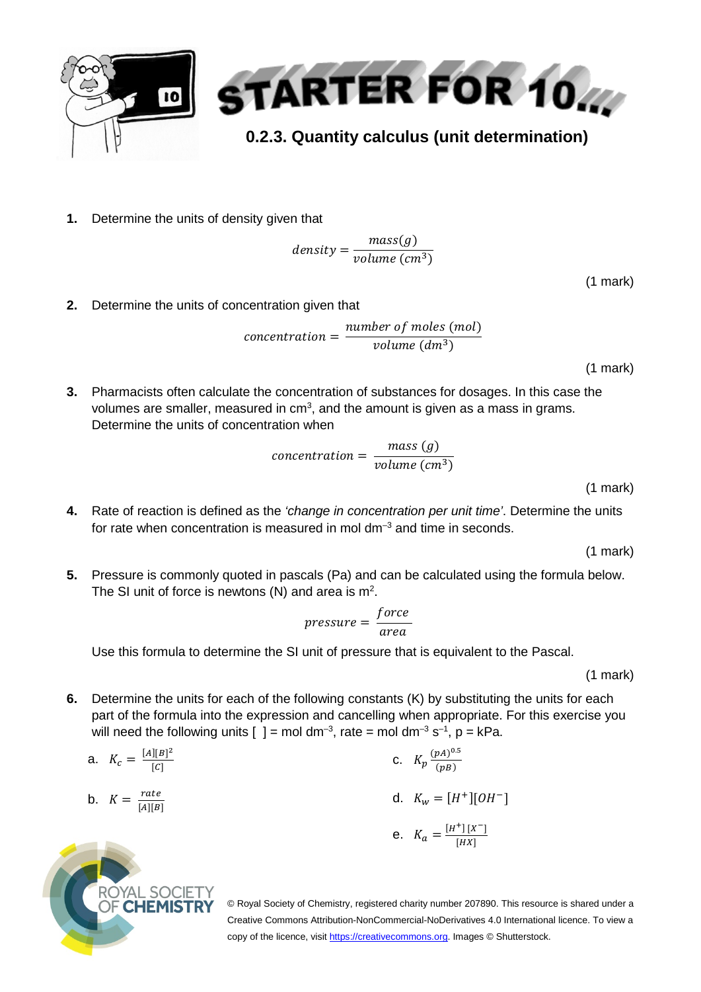

**1.** Determine the units of density given that

$$
density = \frac{mass(g)}{volume\ (cm^3)}
$$

(1 mark)

**2.** Determine the units of concentration given that

$$
concentration = \frac{number\ of\ moles\ (mol)}{volume\ (dm^3)}
$$

(1 mark)

**3.** Pharmacists often calculate the concentration of substances for dosages. In this case the volumes are smaller, measured in  $cm<sup>3</sup>$ , and the amount is given as a mass in grams. Determine the units of concentration when

$$
concentration = \frac{mass(g)}{volume\ (cm^3)}
$$

(1 mark)

**4.** Rate of reaction is defined as the *'change in concentration per unit time'*. Determine the units for rate when concentration is measured in mol dm<sup>-3</sup> and time in seconds.

(1 mark)

**5.** Pressure is commonly quoted in pascals (Pa) and can be calculated using the formula below. The SI unit of force is newtons (N) and area is  $m^2$ .

$$
pressure = \frac{force}{area}
$$

Use this formula to determine the SI unit of pressure that is equivalent to the Pascal.

(1 mark)

**6.** Determine the units for each of the following constants (K) by substituting the units for each part of the formula into the expression and cancelling when appropriate. For this exercise you will need the following units [  $=$  mol dm<sup>-3</sup>, rate = mol dm<sup>-3</sup> s<sup>-1</sup>, p = kPa.

a. 
$$
K_c = \frac{[A][B]^2}{[c]}
$$
  
\nb.  $K = \frac{rate}{[A][B]}$   
\nc.  $K_p \frac{(pA)^{0.5}}{(pB)}$   
\nd.  $K_w = [H^+] [OH^-]$   
\ne.  $K_a = \frac{[H^+] [X^-]}{[HX]}$ 

AL SOC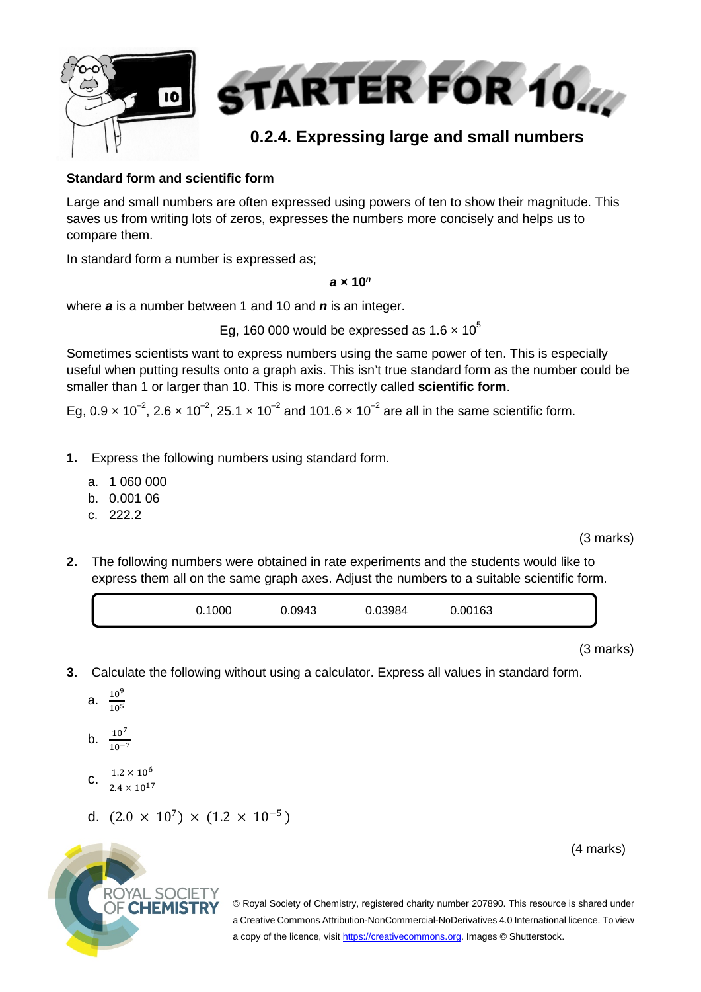

#### **Standard form and scientific form**

Large and small numbers are often expressed using powers of ten to show their magnitude. This saves us from writing lots of zeros, expresses the numbers more concisely and helps us to compare them.

In standard form a number is expressed as;

#### *a* **× 10***<sup>n</sup>*

where *a* is a number between 1 and 10 and *n* is an integer.

Eg, 160 000 would be expressed as  $1.6 \times 10^5$ 

Sometimes scientists want to express numbers using the same power of ten. This is especially useful when putting results onto a graph axis. This isn't true standard form as the number could be smaller than 1 or larger than 10. This is more correctly called **scientific form**.

Eg,  $0.9 \times 10^{-2}$ ,  $2.6 \times 10^{-2}$ ,  $25.1 \times 10^{-2}$  and  $101.6 \times 10^{-2}$  are all in the same scientific form.

- **1.** Express the following numbers using standard form.
	- a. 1 060 000
	- b. 0.001 06
	- c. 222.2

(3 marks)

**2.** The following numbers were obtained in rate experiments and the students would like to express them all on the same graph axes. Adjust the numbers to a suitable scientific form.

|--|

(3 marks)

- **3.** Calculate the following without using a calculator. Express all values in standard form.
	- a.  $\frac{10^9}{105}$ 10<sup>5</sup>
	- b.  $\frac{10^7}{10^{-7}}$
	- C.  $\frac{1.2 \times 10^6}{3.4 \times 10^{12}}$  $2.4 \times 10^{17}$
	- d.  $(2.0 \times 10^7) \times (1.2 \times 10^{-5})$

ROYAL SOCIETY **OF CHEMISTRY** 

(4 marks)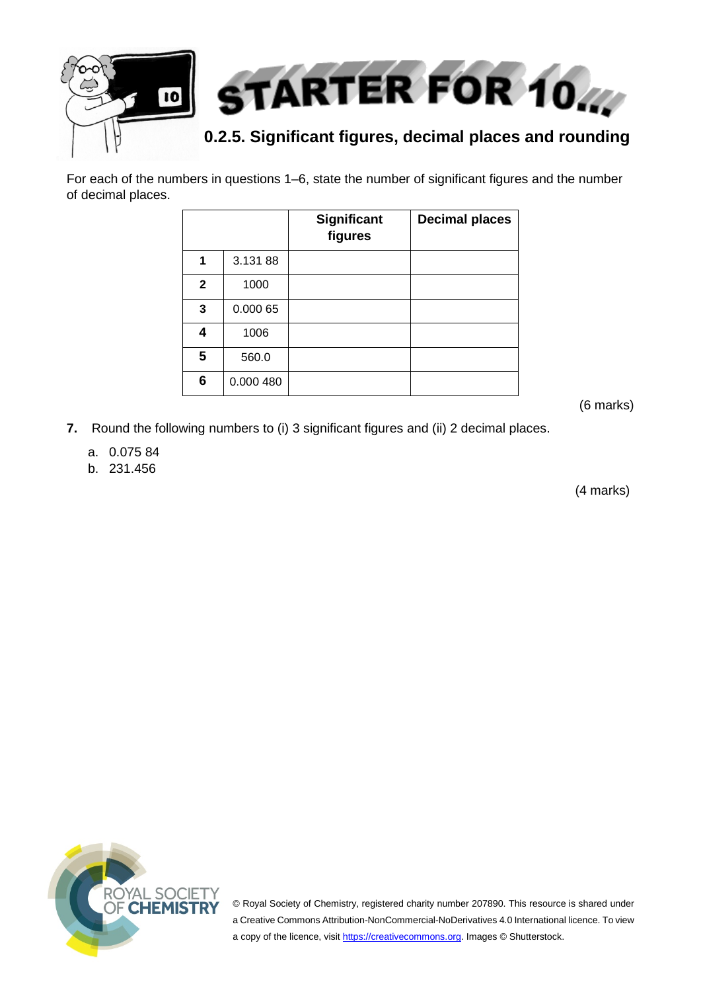

For each of the numbers in questions 1–6, state the number of significant figures and the number of decimal places.

|              |           | Significant<br>figures | <b>Decimal places</b> |
|--------------|-----------|------------------------|-----------------------|
| 1            | 3.13188   |                        |                       |
| $\mathbf{2}$ | 1000      |                        |                       |
| 3            | 0.000 65  |                        |                       |
| 4            | 1006      |                        |                       |
| 5            | 560.0     |                        |                       |
| 6            | 0.000 480 |                        |                       |

(6 marks)

- **7.** Round the following numbers to (i) 3 significant figures and (ii) 2 decimal places.
	- a. 0.075 84
	- b. 231.456

(4 marks)

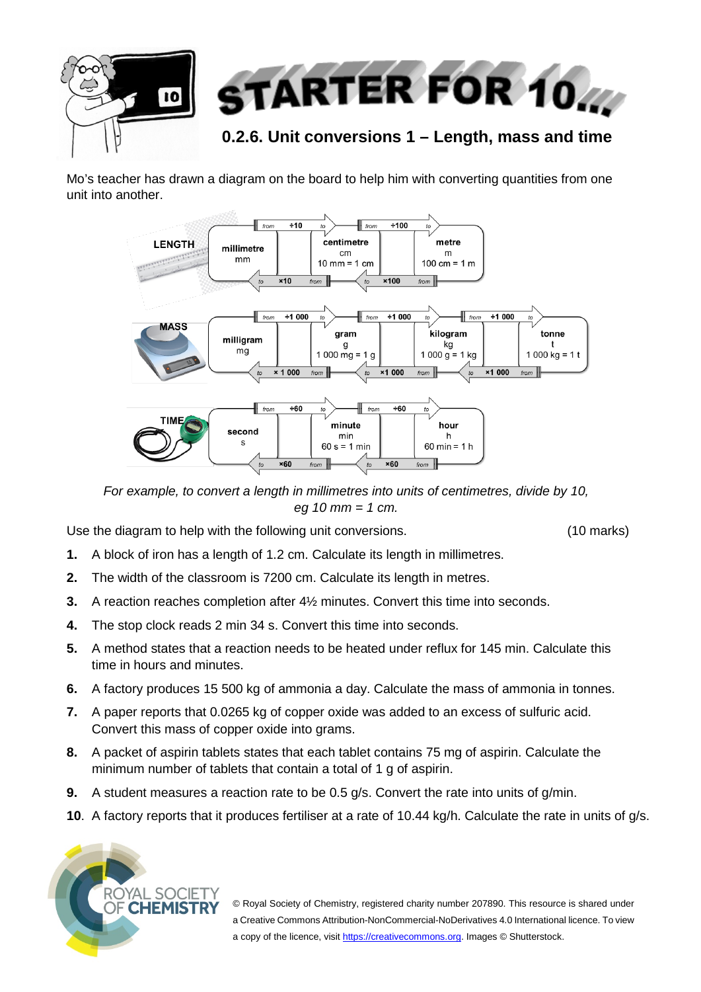

Mo's teacher has drawn a diagram on the board to help him with converting quantities from one unit into another.



*For example, to convert a length in millimetres into units of centimetres, divide by 10, eg 10 mm = 1 cm.*

Use the diagram to help with the following unit conversions. (10 marks)

- **1.** A block of iron has a length of 1.2 cm. Calculate its length in millimetres.
- **2.** The width of the classroom is 7200 cm. Calculate its length in metres.
- **3.** A reaction reaches completion after 4½ minutes. Convert this time into seconds.
- **4.** The stop clock reads 2 min 34 s. Convert this time into seconds.
- **5.** A method states that a reaction needs to be heated under reflux for 145 min. Calculate this time in hours and minutes.
- **6.** A factory produces 15 500 kg of ammonia a day. Calculate the mass of ammonia in tonnes.
- **7.** A paper reports that 0.0265 kg of copper oxide was added to an excess of sulfuric acid. Convert this mass of copper oxide into grams.
- **8.** A packet of aspirin tablets states that each tablet contains 75 mg of aspirin. Calculate the minimum number of tablets that contain a total of 1 g of aspirin.
- **9.** A student measures a reaction rate to be 0.5 g/s. Convert the rate into units of g/min.
- **10**. A factory reports that it produces fertiliser at a rate of 10.44 kg/h. Calculate the rate in units of g/s.

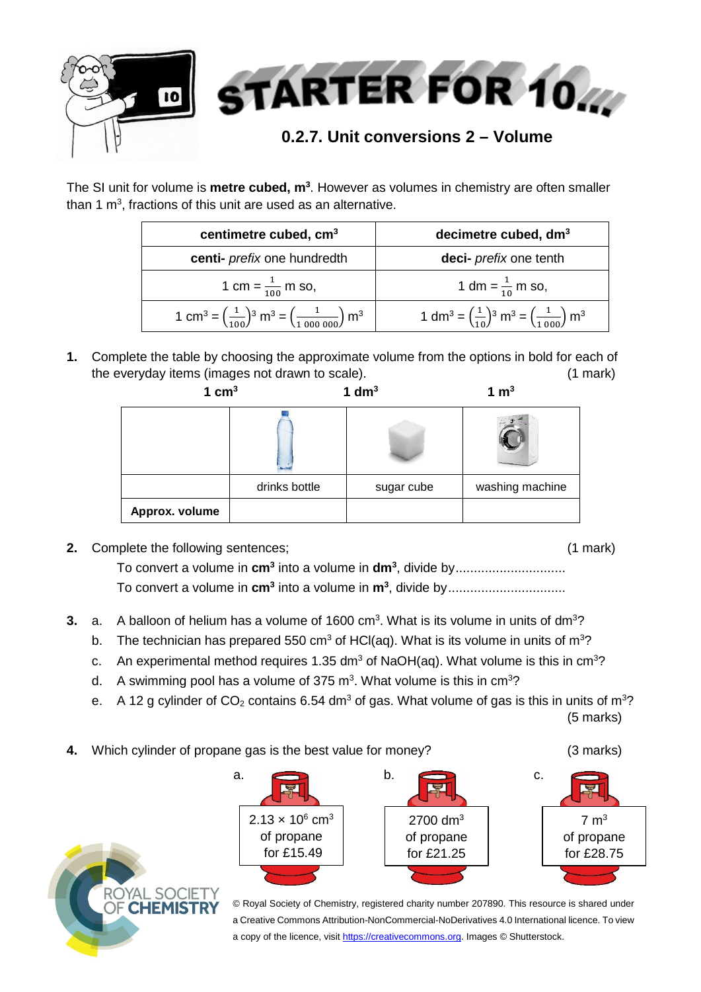

The SI unit for volume is **metre cubed, m<sup>3</sup>.** However as volumes in chemistry are often smaller than 1 m<sup>3</sup>, fractions of this unit are used as an alternative.

| centimetre cubed, cm <sup>3</sup>                                                                                   | decimetre cubed, dm <sup>3</sup>                                                                                |  |
|---------------------------------------------------------------------------------------------------------------------|-----------------------------------------------------------------------------------------------------------------|--|
| centi- <i>prefix</i> one hundredth                                                                                  | deci- <i>prefix</i> one tenth                                                                                   |  |
| 1 cm = $\frac{1}{100}$ m so,                                                                                        | 1 dm = $\frac{1}{10}$ m so,                                                                                     |  |
| 1 cm <sup>3</sup> = $\left(\frac{1}{100}\right)^3$ m <sup>3</sup> = $\left(\frac{1}{1000000}\right)$ m <sup>3</sup> | 1 dm <sup>3</sup> = $\left(\frac{1}{10}\right)^3$ m <sup>3</sup> = $\left(\frac{1}{1000}\right)$ m <sup>3</sup> |  |

**1.** Complete the table by choosing the approximate volume from the options in bold for each of the everyday items (images not drawn to scale). (1 mark)

| 1 $cm3$        |               | 1 $dm3$    | 1 $m3$          |  |
|----------------|---------------|------------|-----------------|--|
|                |               |            |                 |  |
|                | drinks bottle | sugar cube | washing machine |  |
| Approx. volume |               |            |                 |  |

**2.** Complete the following sentences; (1 mark)

To convert a volume in **cm3** into a volume in **dm3** , divide by.............................. To convert a volume in **cm<sup>3</sup>** into a volume in **m<sup>3</sup>**, divide by................................

- **3.** a. A balloon of helium has a volume of 1600 cm<sup>3</sup>. What is its volume in units of dm<sup>3</sup>?
	- b. The technician has prepared 550 cm<sup>3</sup> of HCl(aq). What is its volume in units of m<sup>3</sup>?
	- c. An experimental method requires 1.35 dm<sup>3</sup> of NaOH(aq). What volume is this in cm<sup>3</sup>?
	- d. A swimming pool has a volume of 375 m<sup>3</sup>. What volume is this in  $cm<sup>3</sup>$ ?
	- e. A 12 g cylinder of CO<sub>2</sub> contains 6.54 dm<sup>3</sup> of gas. What volume of gas is this in units of m<sup>3</sup>? (5 marks)
- **4.** Which cylinder of propane gas is the best value for money? (3 marks)

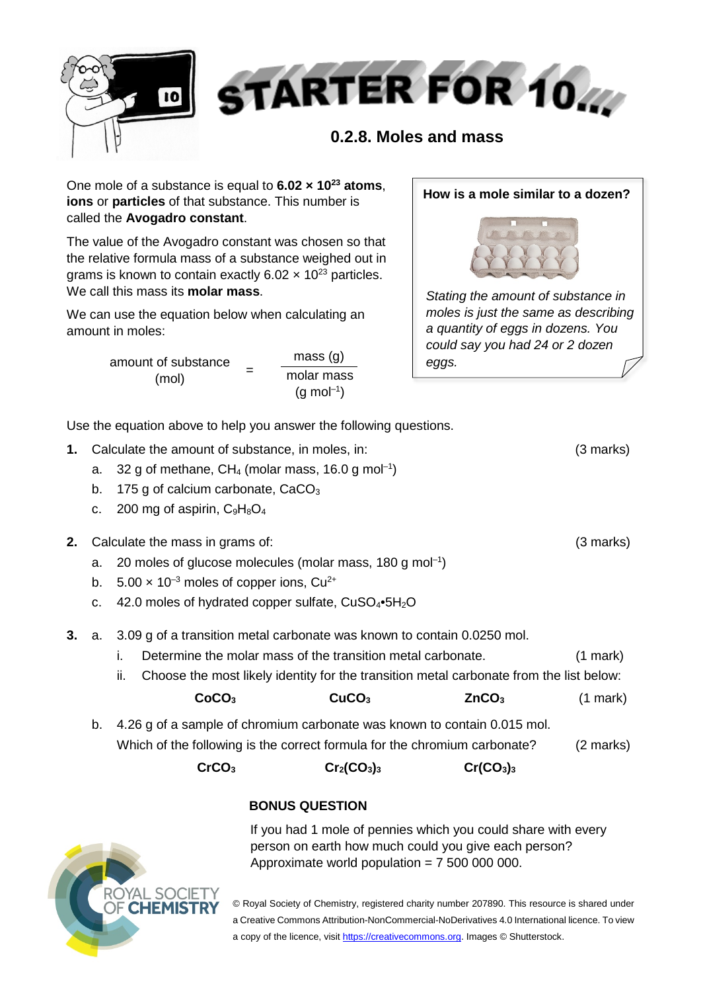

One mole of a substance is equal to **6.02 × 1023 atoms**, **ions** or **particles** of that substance. This number is called the **Avogadro constant**.

The value of the Avogadro constant was chosen so that the relative formula mass of a substance weighed out in grams is known to contain exactly  $6.02 \times 10^{23}$  particles. We call this mass its **molar mass**.

We can use the equation below when calculating an amount in moles:

> amount of substance  $(mol)$ mass (g) molar mass  $(g \text{ mol}^{-1})$

### **How is a mole similar to a dozen?**



*Stating the amount of substance in moles is just the same as describing a quantity of eggs in dozens. You could say you had 24 or 2 dozen eggs.*

Use the equation above to help you answer the following questions.

- **1.** Calculate the amount of substance, in moles, in: (3 marks)
	- a. 32 g of methane,  $CH_4$  (molar mass, 16.0 g mol<sup>-1</sup>)
	- b. 175 g of calcium carbonate,  $CaCO<sub>3</sub>$
	- c. 200 mg of aspirin,  $C_9H_8O_4$
- **2.** Calculate the mass in grams of: (3 marks)
	- a. 20 moles of glucose molecules (molar mass, 180 g mol<sup>-1</sup>)
	- b.  $5.00 \times 10^{-3}$  moles of copper ions, Cu<sup>2+</sup>
	- c. 42.0 moles of hydrated copper sulfate,  $CuSO_4\bullet 5H_2O$
- **3.** a. 3.09 g of a transition metal carbonate was known to contain 0.0250 mol.
	- i. Determine the molar mass of the transition metal carbonate. (1 mark)
	- ii. Choose the most likely identity for the transition metal carbonate from the list below:

| CoCO <sub>3</sub> | CuCO <sub>3</sub> | ZnCO <sub>3</sub> | $(1$ mark) |
|-------------------|-------------------|-------------------|------------|
|                   |                   |                   |            |

b. 4.26 g of a sample of chromium carbonate was known to contain 0.015 mol. Which of the following is the correct formula for the chromium carbonate? (2 marks)

| Cr(CO <sub>3</sub> ) <sub>3</sub><br>$Cr_2(CO_3)_3$ |
|-----------------------------------------------------|
|                                                     |

## **BONUS QUESTION**

If you had 1 mole of pennies which you could share with every person on earth how much could you give each person? Approximate world population  $= 75000000000$ .